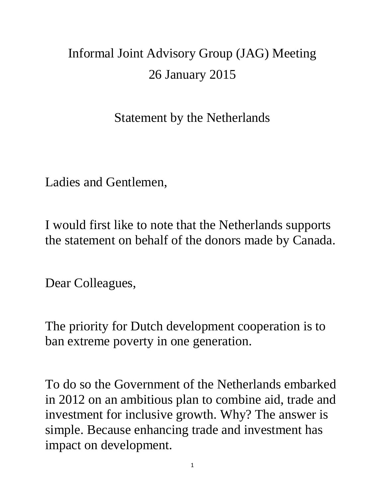## Informal Joint Advisory Group (JAG) Meeting 26 January 2015

Statement by the Netherlands

Ladies and Gentlemen,

I would first like to note that the Netherlands supports the statement on behalf of the donors made by Canada.

Dear Colleagues,

The priority for Dutch development cooperation is to ban extreme poverty in one generation.

To do so the Government of the Netherlands embarked in 2012 on an ambitious plan to combine aid, trade and investment for inclusive growth. Why? The answer is simple. Because enhancing trade and investment has impact on development.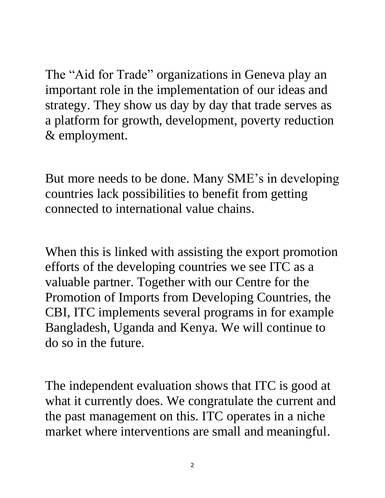The "Aid for Trade" organizations in Geneva play an important role in the implementation of our ideas and strategy. They show us day by day that trade serves as a platform for growth, development, poverty reduction & employment.

But more needs to be done. Many SME's in developing countries lack possibilities to benefit from getting connected to international value chains.

When this is linked with assisting the export promotion efforts of the developing countries we see ITC as a valuable partner. Together with our Centre for the Promotion of Imports from Developing Countries, the CBI, ITC implements several programs in for example Bangladesh, Uganda and Kenya. We will continue to do so in the future.

The independent evaluation shows that ITC is good at what it currently does. We congratulate the current and the past management on this. ITC operates in a niche market where interventions are small and meaningful.